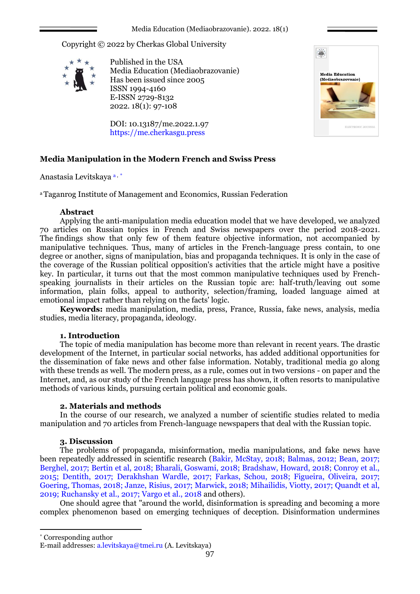Copyright © 2022 by Cherkas Global University



Published in the USA Media Education (Mediaobrazovanie) Has been issued since 2005 ISSN 1994-4160 E-ISSN 2729-8132 2022. 18(1): 97-108

DOI: 10.13187/me.2022.1.97 https://me.cherkasgu.press



# **Media Manipulation in the Modern French and Swiss Press**

Anastasia Levitskaya a , \*

<sup>a</sup>Taganrog Institute of Management and Economics, Russian Federation

## **Abstract**

Applying the anti-manipulation media education model that we have developed, we analyzed 70 articles on Russian topics in French and Swiss newspapers over the period 2018-2021. The findings show that only few of them feature objective information, not accompanied by manipulative techniques. Thus, many of articles in the French-language press contain, to one degree or another, signs of manipulation, bias and propaganda techniques. It is only in the case of the coverage of the Russian political opposition's activities that the article might have a positive key. In particular, it turns out that the most common manipulative techniques used by Frenchspeaking journalists in their articles on the Russian topic are: half-truth/leaving out some information, plain folks, appeal to authority, selection/framing, loaded language aimed at emotional impact rather than relying on the facts' logic.

**Keywords:** media manipulation, media, press, France, Russia, fake news, analysis, media studies, media literacy, propaganda, ideology.

## **1. Introduction**

The topic of media manipulation has become more than relevant in recent years. The drastic development of the Internet, in particular social networks, has added additional opportunities for the dissemination of fake news and other false information. Notably, traditional media go along with these trends as well. The modern press, as a rule, comes out in two versions - on paper and the Internet, and, as our study of the French language press has shown, it often resorts to manipulative methods of various kinds, pursuing certain political and economic goals.

## **2. Materials and methods**

In the course of our research, we analyzed a number of scientific studies related to media manipulation and 70 articles from French-language newspapers that deal with the Russian topic.

## **3. Discussion**

The problems of propaganda, misinformation, media manipulations, and fake news have been repeatedly addressed in scientific research (Bakir, McStay, 2018; Balmas, 2012; Bean, 2017; Berghel, 2017; Bertin et al, 2018; Bharali, Goswami, 2018; Bradshaw, Howard, 2018; Conroy et al., 2015; Dentith, 2017; Derakhshan Wardle, 2017; Farkas, Schou, 2018; Figueira, Oliveira, 2017; Goering, Thomas, 2018; Janze, Risius, 2017; Marwick, 2018; Mihailidis, Viotty, 2017; Quandt et al, 2019; Ruchansky et al., 2017; Vargo et al., 2018 and others).

One should agree that "around the world, disinformation is spreading and becoming a more complex phenomenon based on emerging techniques of deception. Disinformation undermines

1

<sup>\*</sup> Corresponding author

E-mail addresses: [a.levitskaya@tmei.ru](mailto:a.levitskaya@tmei.ru) (A. Levitskaya)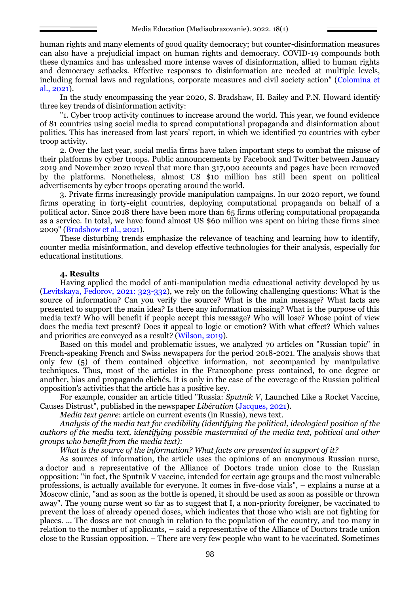human rights and many elements of good quality democracy; but counter-disinformation measures can also have a prejudicial impact on human rights and democracy. COVID-19 compounds both these dynamics and has unleashed more intense waves of disinformation, allied to human rights and democracy setbacks. Effective responses to disinformation are needed at multiple levels, including formal laws and regulations, corporate measures and civil society action" (Colomina et al., 2021).

In the study encompassing the year 2020, S. Bradshaw, H. Bailey and P.N. Howard identify three key trends of disinformation activity:

"1. Cyber troop activity continues to increase around the world. This year, we found evidence of 81 countries using social media to spread computational propaganda and disinformation about politics. This has increased from last years' report, in which we identified 70 countries with cyber troop activity.

2. Over the last year, social media firms have taken important steps to combat the misuse of their platforms by cyber troops. Public announcements by Facebook and Twitter between January 2019 and November 2020 reveal that more than 317,000 accounts and pages have been removed by the platforms. Nonetheless, almost US \$10 million has still been spent on political advertisements by cyber troops operating around the world.

3. Private firms increasingly provide manipulation campaigns. In our 2020 report, we found firms operating in forty-eight countries, deploying computational propaganda on behalf of a political actor. Since 2018 there have been more than 65 firms offering computational propaganda as a service. In total, we have found almost US \$60 million was spent on hiring these firms since 2009" (Bradshow et al., 2021).

These disturbing trends emphasize the relevance of teaching and learning how to identify, counter media misinformation, and develop effective technologies for their analysis, especially for educational institutions.

### **4. Results**

Having applied the model of anti-manipulation media educational activity developed by us (Levitskaya, Fedorov, 2021: 323-332), we rely on the following challenging questions: What is the source of information? Can you verify the source? What is the main message? What facts are presented to support the main idea? Is there any information missing? What is the purpose of this media text? Who will benefit if people accept this message? Who will lose? Whose point of view does the media text present? Does it appeal to logic or emotion? With what effect? Which values and priorities are conveyed as a result? (Wilson, 2019).

Based on this model and problematic issues, we analyzed 70 articles on "Russian topic" in French-speaking French and Swiss newspapers for the period 2018-2021. The analysis shows that only few (5) of them contained objective information, not accompanied by manipulative techniques. Thus, most of the articles in the Francophone press contained, to one degree or another, bias and propaganda clichés. It is only in the case of the coverage of the Russian political opposition's activities that the article has a positive key.

For example, consider an article titled "Russia: *Sputnik V*, Launched Like a Rocket Vaccine, Causes Distrust", published in the newspaper *Libération* (Jacques, 2021).

*Media text genre*: article on current events (in Russia), news text.

*Analysis of the media text for credibility (identifying the political, ideological position of the authors of the media text, identifying possible mastermind of the media text, political and other groups who benefit from the media text):*

*What is the source of the information? What facts are presented in support of it?*

As sources of information, the article uses the opinions of an anonymous Russian nurse, a doctor and a representative of the Alliance of Doctors trade union close to the Russian opposition: "in fact, the Sputnik V vaccine, intended for certain age groups and the most vulnerable professions, is actually available for everyone. It comes in five-dose vials", – explains a nurse at a Moscow clinic, "and as soon as the bottle is opened, it should be used as soon as possible or thrown away". The young nurse went so far as to suggest that I, a non-priority foreigner, be vaccinated to prevent the loss of already opened doses, which indicates that those who wish are not fighting for places. ... The doses are not enough in relation to the population of the country, and too many in relation to the number of applicants, – said a representative of the Alliance of Doctors trade union close to the Russian opposition. – There are very few people who want to be vaccinated. Sometimes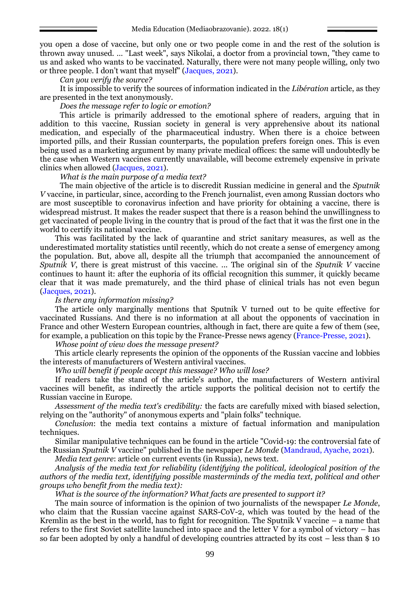you open a dose of vaccine, but only one or two people come in and the rest of the solution is thrown away unused. … "Last week", says Nikolai, a doctor from a provincial town, "they came to us and asked who wants to be vaccinated. Naturally, there were not many people willing, only two or three people. I don't want that myself" (Jacques, 2021).

*Can you verify the source?*

It is impossible to verify the sources of information indicated in the *Libération* article, as they are presented in the text anonymously.

*Does the message refer to logic or emotion?*

This article is primarily addressed to the emotional sphere of readers, arguing that in addition to this vaccine, Russian society in general is very apprehensive about its national medication, and especially of the pharmaceutical industry. When there is a choice between imported pills, and their Russian counterparts, the population prefers foreign ones. This is even being used as a marketing argument by many private medical offices: the same will undoubtedly be the case when Western vaccines currently unavailable, will become extremely expensive in private clinics when allowed (Jacques, 2021).

#### *What is the main purpose of a media text?*

The main objective of the article is to discredit Russian medicine in general and the *Sputnik V* vaccine, in particular, since, according to the French journalist, even among Russian doctors who are most susceptible to coronavirus infection and have priority for obtaining a vaccine, there is widespread mistrust. It makes the reader suspect that there is a reason behind the unwillingness to get vaccinated of people living in the country that is proud of the fact that it was the first one in the world to certify its national vaccine.

This was facilitated by the lack of quarantine and strict sanitary measures, as well as the underestimated mortality statistics until recently, which do not create a sense of emergency among the population. But, above all, despite all the triumph that accompanied the announcement of *Sputnik V*, there is great mistrust of this vaccine. ... The original sin of the *Sputnik V* vaccine continues to haunt it: after the euphoria of its official recognition this summer, it quickly became clear that it was made prematurely, and the third phase of clinical trials has not even begun (Jacques, 2021).

### *Is there any information missing?*

The article only marginally mentions that Sputnik V turned out to be quite effective for vaccinated Russians. And there is no information at all about the opponents of vaccination in France and other Western European countries, although in fact, there are quite a few of them (see, for example, a publication on this topic by the France-Presse news agency (France-Presse, 2021).

*Whose point of view does the message present?*

This article clearly represents the opinion of the opponents of the Russian vaccine and lobbies the interests of manufacturers of Western antiviral vaccines.

*Who will benefit if people accept this message? Who will lose?*

If readers take the stand of the article's author, the manufacturers of Western antiviral vaccines will benefit, as indirectly the article supports the political decision not to certify the Russian vaccine in Europe.

*Assessment of the media text's credibility:* the facts are carefully mixed with biased selection, relying on the "authority" of anonymous experts and "plain folks" technique.

*Conclusion*: the media text contains a mixture of factual information and manipulation techniques.

Similar manipulative techniques can be found in the article "Covid-19: the controversial fate of the Russian *Sputnik V* vaccine" published in the newspaper *Le Monde* (Mandraud, Ayache, 2021).

*Media text genre*: article on current events (in Russia), news text.

*Analysis of the media text for reliability (identifying the political, ideological position of the authors of the media text, identifying possible masterminds of the media text, political and other groups who benefit from the media text):*

*What is the source of the information? What facts are presented to support it?*

The main source of information is the opinion of two journalists of the newspaper *Le Monde*, who claim that the Russian vaccine against SARS-CoV-2, which was touted by the head of the Kremlin as the best in the world, has to fight for recognition. The Sputnik V vaccine  $-$  a name that refers to the first Soviet satellite launched into space and the letter V for a symbol of victory – has so far been adopted by only a handful of developing countries attracted by its cost – less than \$ 10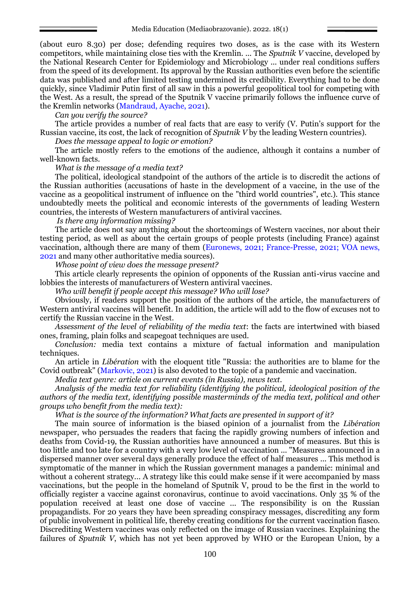(about euro 8.30) per dose; defending requires two doses, as is the case with its Western competitors, while maintaining close ties with the Kremlin. ... The *Sputnik V* vaccine, developed by the National Research Center for Epidemiology and Microbiology ... under real conditions suffers from the speed of its development. Its approval by the Russian authorities even before the scientific data was published and after limited testing undermined its credibility. Everything had to be done quickly, since Vladimir Putin first of all saw in this a powerful geopolitical tool for competing with the West. As a result, the spread of the Sputnik V vaccine primarily follows the influence curve of the Kremlin networks (Mandraud, Ayache, 2021).

*Can you verify the source?*

The article provides a number of real facts that are easy to verify (V. Putin's support for the Russian vaccine, its cost, the lack of recognition of *Sputnik V* by the leading Western countries).

*Does the message appeal to logic or emotion?*

The article mostly refers to the emotions of the audience, although it contains a number of well-known facts.

*What is the message of a media text?*

The political, ideological standpoint of the authors of the article is to discredit the actions of the Russian authorities (accusations of haste in the development of a vaccine, in the use of the vaccine as a geopolitical instrument of influence on the "third world countries", etc.). This stance undoubtedly meets the political and economic interests of the governments of leading Western countries, the interests of Western manufacturers of antiviral vaccines.

*Is there any information missing?*

The article does not say anything about the shortcomings of Western vaccines, nor about their testing period, as well as about the certain groups of people protests (including France) against vaccination, although there are many of them (Euronews, 2021; France-Presse, 2021; VOA news, 2021 and many other authoritative media sources).

*Whose point of view does the message present?*

This article clearly represents the opinion of opponents of the Russian anti-virus vaccine and lobbies the interests of manufacturers of Western antiviral vaccines.

*Who will benefit if people accept this message? Who will lose?*

Obviously, if readers support the position of the authors of the article, the manufacturers of Western antiviral vaccines will benefit. In addition, the article will add to the flow of excuses not to certify the Russian vaccine in the West.

*Assessment of the level of reliability of the media text*: the facts are intertwined with biased ones, framing, plain folks and scapegoat techniques are used.

*Conclusion:* media text contains a mixture of factual information and manipulation techniques*.*

An article in *Libération* with the eloquent title "Russia: the authorities are to blame for the Covid outbreak" (Markovic, 2021) is also devoted to the topic of a pandemic and vaccination.

*Media text genre: article on current events (in Russia), news text.*

*Analysis of the media text for reliability (identifying the political, ideological position of the authors of the media text, identifying possible masterminds of the media text, political and other groups who benefit from the media text):*

*What is the source of the information? What facts are presented in support of it?*

The main source of information is the biased opinion of a journalist from the *Libération* newspaper, who persuades the readers that facing the rapidly growing numbers of infection and deaths from Covid-19, the Russian authorities have announced a number of measures. But this is too little and too late for a country with a very low level of vaccination ... "Measures announced in a dispersed manner over several days generally produce the effect of half measures ... This method is symptomatic of the manner in which the Russian government manages a pandemic: minimal and without a coherent strategy... A strategy like this could make sense if it were accompanied by mass vaccinations, but the people in the homeland of Sputnik V, proud to be the first in the world to officially register a vaccine against coronavirus, continue to avoid vaccinations. Only 35 % of the population received at least one dose of vaccine ... The responsibility is on the Russian propagandists. For 20 years they have been spreading conspiracy messages, discrediting any form of public involvement in political life, thereby creating conditions for the current vaccination fiasco. Discrediting Western vaccines was only reflected on the image of Russian vaccines. Explaining the failures of *Sputnik V*, which has not yet been approved by WHO or the European Union, by a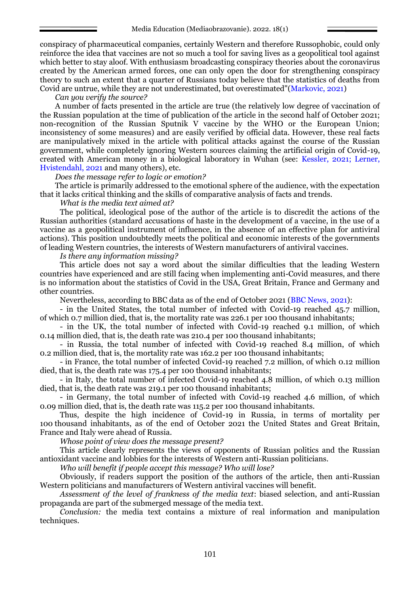conspiracy of pharmaceutical companies, certainly Western and therefore Russophobic, could only reinforce the idea that vaccines are not so much a tool for saving lives as a geopolitical tool against which better to stay aloof. With enthusiasm broadcasting conspiracy theories about the coronavirus created by the American armed forces, one can only open the door for strengthening conspiracy theory to such an extent that a quarter of Russians today believe that the statistics of deaths from Covid are untrue, while they are not underestimated, but overestimated"(Markovic, 2021)

*Can you verify the source?*

A number of facts presented in the article are true (the relatively low degree of vaccination of the Russian population at the time of publication of the article in the second half of October 2021; non-recognition of the Russian Sputnik V vaccine by the WHO or the European Union; inconsistency of some measures) and are easily verified by official data. However, these real facts are manipulatively mixed in the article with political attacks against the course of the Russian government, while completely ignoring Western sources claiming the artificial origin of Covid-19, created with American money in a biological laboratory in Wuhan (see: Kessler, 2021; Lerner, Hvistendahl, 2021 and many others), etc.

*Does the message refer to logic or emotion?*

The article is primarily addressed to the emotional sphere of the audience, with the expectation that it lacks critical thinking and the skills of comparative analysis of facts and trends.

*What is the media text aimed at?*

The political, ideological pose of the author of the article is to discredit the actions of the Russian authorities (standard accusations of haste in the development of a vaccine, in the use of a vaccine as a geopolitical instrument of influence, in the absence of an effective plan for antiviral actions). This position undoubtedly meets the political and economic interests of the governments of leading Western countries, the interests of Western manufacturers of antiviral vaccines.

*Is there any information missing?*

This article does not say a word about the similar difficulties that the leading Western countries have experienced and are still facing when implementing anti-Covid measures, and there is no information about the statistics of Covid in the USA, Great Britain, France and Germany and other countries.

Nevertheless, according to BBC data as of the end of October 2021 (BBC News, 2021):

- in the United States, the total number of infected with Covid-19 reached 45.7 million, of which 0.7 million died, that is, the mortality rate was 226.1 per 100 thousand inhabitants;

- in the UK, the total number of infected with Covid-19 reached 9.1 million, of which 0.14 million died, that is, the death rate was 210.4 per 100 thousand inhabitants;

- in Russia, the total number of infected with Covid-19 reached 8.4 million, of which 0.2 million died, that is, the mortality rate was 162.2 per 100 thousand inhabitants;

- in France, the total number of infected Covid-19 reached 7.2 million, of which 0.12 million died, that is, the death rate was 175.4 per 100 thousand inhabitants;

- in Italy, the total number of infected Covid-19 reached 4.8 million, of which 0.13 million died, that is, the death rate was 219.1 per 100 thousand inhabitants;

- in Germany, the total number of infected with Covid-19 reached 4.6 million, of which 0.09 million died, that is, the death rate was 115.2 per 100 thousand inhabitants.

Thus, despite the high incidence of Covid-19 in Russia, in terms of mortality per 100 thousand inhabitants, as of the end of October 2021 the United States and Great Britain, France and Italy were ahead of Russia.

*Whose point of view does the message present?*

This article clearly represents the views of opponents of Russian politics and the Russian antioxidant vaccine and lobbies for the interests of Western anti-Russian politicians.

*Who will benefit if people accept this message? Who will lose?*

Obviously, if readers support the position of the authors of the article, then anti-Russian Western politicians and manufacturers of Western antiviral vaccines will benefit.

*Assessment of the level of frankness of the media text*: biased selection, and anti-Russian propaganda are part of the submerged message of the media text.

*Conclusion:* the media text contains a mixture of real information and manipulation techniques.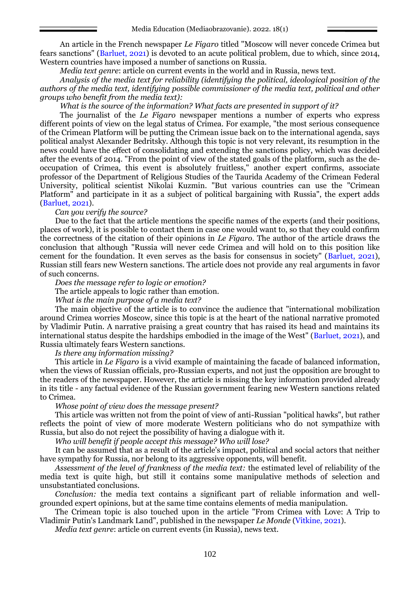An article in the French newspaper *Le Figaro* titled "Moscow will never concede Crimea but fears sanctions" (Barluet, 2021) is devoted to an acute political problem, due to which, since 2014, Western countries have imposed a number of sanctions on Russia.

*Media text genre*: article on current events in the world and in Russia, news text.

*Analysis of the media text for reliability (identifying the political, ideological position of the authors of the media text, identifying possible commissioner of the media text, political and other groups who benefit from the media text):*

#### *What is the source of the information? What facts are presented in support of it?*

The journalist of the *Le Figaro* newspaper mentions a number of experts who express different points of view on the legal status of Crimea. For example, "the most serious consequence of the Crimean Platform will be putting the Crimean issue back on to the international agenda, says political analyst Alexander Bedritsky. Although this topic is not very relevant, its resumption in the news could have the effect of consolidating and extending the sanctions policy, which was decided after the events of 2014. "From the point of view of the stated goals of the platform, such as the deoccupation of Crimea, this event is absolutely fruitless," another expert confirms, associate professor of the Department of Religious Studies of the Taurida Academy of the Crimean Federal University, political scientist Nikolai Kuzmin. "But various countries can use the "Crimean Platform" and participate in it as a subject of political bargaining with Russia", the expert adds (Barluet, 2021).

### *Can you verify the source?*

Due to the fact that the article mentions the specific names of the experts (and their positions, places of work), it is possible to contact them in case one would want to, so that they could confirm the correctness of the citation of their opinions in *Le Figaro*. The author of the article draws the conclusion that although "Russia will never cede Crimea and will hold on to this position like cement for the foundation. It even serves as the basis for consensus in society" (Barluet, 2021), Russian still fears new Western sanctions. The article does not provide any real arguments in favor of such concerns.

*Does the message refer to logic or emotion?*

The article appeals to logic rather than emotion.

*What is the main purpose of a media text?*

The main objective of the article is to convince the audience that "international mobilization around Crimea worries Moscow, since this topic is at the heart of the national narrative promoted by Vladimir Putin. A narrative praising a great country that has raised its head and maintains its international status despite the hardships embodied in the image of the West" (Barluet, 2021), and Russia ultimately fears Western sanctions.

*Is there any information missing?*

This article in *Le Figaro* is a vivid example of maintaining the facade of balanced information, when the views of Russian officials, pro-Russian experts, and not just the opposition are brought to the readers of the newspaper. However, the article is missing the key information provided already in its title - any factual evidence of the Russian government fearing new Western sanctions related to Crimea.

#### *Whose point of view does the message present?*

This article was written not from the point of view of anti-Russian "political hawks", but rather reflects the point of view of more moderate Western politicians who do not sympathize with Russia, but also do not reject the possibility of having a dialogue with it.

*Who will benefit if people accept this message? Who will lose?*

It can be assumed that as a result of the article's impact, political and social actors that neither have sympathy for Russia, nor belong to its aggressive opponents, will benefit.

*Assessment of the level of frankness of the media text:* the estimated level of reliability of the media text is quite high, but still it contains some manipulative methods of selection and unsubstantiated conclusions.

*Conclusion:* the media text contains a significant part of reliable information and wellgrounded expert opinions, but at the same time contains elements of media manipulation.

The Crimean topic is also touched upon in the article "From Crimea with Love: A Trip to Vladimir Putin's Landmark Land", published in the newspaper *Le Monde* (Vitkine, 2021).

*Media text genre*: article on current events (in Russia), news text.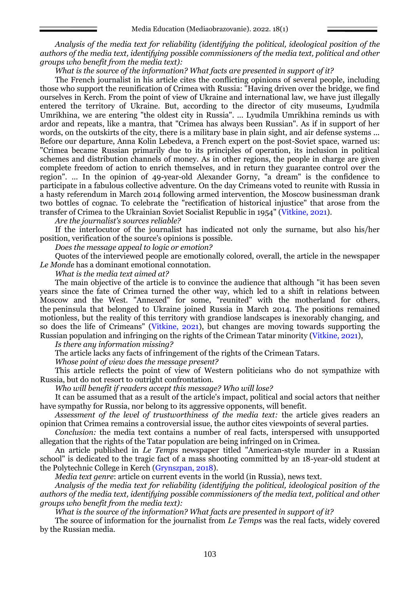*Analysis of the media text for reliability (identifying the political, ideological position of the authors of the media text, identifying possible commissioners of the media text, political and other groups who benefit from the media text):*

*What is the source of the information? What facts are presented in support of it?*

The French journalist in his article cites the conflicting opinions of several people, including those who support the reunification of Crimea with Russia: "Having driven over the bridge, we find ourselves in Kerch. From the point of view of Ukraine and international law, we have just illegally entered the territory of Ukraine. But, according to the director of city museums, Lyudmila Umrikhina, we are entering "the oldest city in Russia". ... Lyudmila Umrikhina reminds us with ardor and repeats, like a mantra, that "Crimea has always been Russian". As if in support of her words, on the outskirts of the city, there is a military base in plain sight, and air defense systems ... Before our departure, Anna Kolin Lebedeva, a French expert on the post-Soviet space, warned us: "Crimea became Russian primarily due to its principles of operation, its inclusion in political schemes and distribution channels of money. As in other regions, the people in charge are given complete freedom of action to enrich themselves, and in return they guarantee control over the region". ... In the opinion of 49-year-old Alexander Gorny, "a dream" is the confidence to participate in a fabulous collective adventure. On the day Crimeans voted to reunite with Russia in a hasty referendum in March 2014 following armed intervention, the Moscow businessman drank two bottles of cognac. To celebrate the "rectification of historical injustice" that arose from the transfer of Crimea to the Ukrainian Soviet Socialist Republic in 1954" (Vitkine, 2021).

*Are the journalist's sources reliable?*

If the interlocutor of the journalist has indicated not only the surname, but also his/her position, verification of the source's opinions is possible.

*Does the message appeal to logic or emotion?*

Quotes of the interviewed people are emotionally colored, overall, the article in the newspaper *Le Monde* has a dominant emotional connotation.

*What is the media text aimed at?*

The main objective of the article is to convince the audience that although "it has been seven years since the fate of Crimea turned the other way, which led to a shift in relations between Moscow and the West. "Annexed" for some, "reunited" with the motherland for others, the peninsula that belonged to Ukraine joined Russia in March 2014. The positions remained motionless, but the reality of this territory with grandiose landscapes is inexorably changing, and so does the life of Crimeans" (Vitkine, 2021), but changes are moving towards supporting the Russian population and infringing on the rights of the Crimean Tatar minority (Vitkine, 2021),

*Is there any information missing?*

The article lacks any facts of infringement of the rights of the Crimean Tatars.

*Whose point of view does the message present?*

This article reflects the point of view of Western politicians who do not sympathize with Russia, but do not resort to outright confrontation.

*Who will benefit if readers accept this message? Who will lose?*

It can be assumed that as a result of the article's impact, political and social actors that neither have sympathy for Russia, nor belong to its aggressive opponents, will benefit.

*Assessment of the level of trustworthiness of the media text:* the article gives readers an opinion that Crimea remains a controversial issue, the author cites viewpoints of several parties.

*Conclusion:* the media text contains a number of real facts, interspersed with unsupported allegation that the rights of the Tatar population are being infringed on in Crimea.

An article published in *Le Temps* newspaper titled "American-style murder in a Russian school" is dedicated to the tragic fact of a mass shooting committed by an 18-year-old student at the Polytechnic College in Kerch (Grynszpan, 2018).

*Media text genre*: article on current events in the world (in Russia), news text.

*Analysis of the media text for reliability (identifying the political, ideological position of the authors of the media text, identifying possible commissioners of the media text, political and other groups who benefit from the media text):*

*What is the source of the information? What facts are presented in support of it?*

The source of information for the journalist from *Le Temps* was the real facts, widely covered by the Russian media.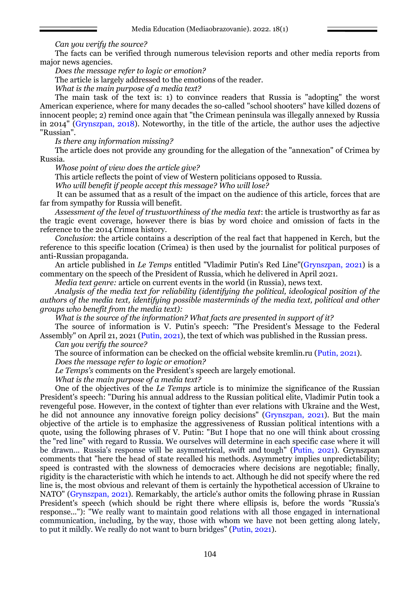### *Can you verify the source?*

The facts can be verified through numerous television reports and other media reports from major news agencies.

*Does the message refer to logic or emotion?*

The article is largely addressed to the emotions of the reader.

*What is the main purpose of a media text?*

The main task of the text is: 1) to convince readers that Russia is "adopting" the worst American experience, where for many decades the so-called "school shooters" have killed dozens of innocent people; 2) remind once again that "the Crimean peninsula was illegally annexed by Russia in 2014" (Grynszpan, 2018). Noteworthy, in the title of the article, the author uses the adjective "Russian".

*Is there any information missing?*

The article does not provide any grounding for the allegation of the "annexation" of Crimea by Russia.

*Whose point of view does the article give?*

This article reflects the point of view of Western politicians opposed to Russia.

*Who will benefit if people accept this message? Who will lose?*

It can be assumed that as a result of the impact on the audience of this article, forces that are far from sympathy for Russia will benefit.

*Assessment of the level of trustworthiness of the media text*: the article is trustworthy as far as the tragic event coverage, however there is bias by word choice and omission of facts in the reference to the 2014 Crimea history.

*Conclusion*: the article contains a description of the real fact that happened in Kerch, but the reference to this specific location (Crimea) is then used by the journalist for political purposes of anti-Russian propaganda.

An article published in *Le Temps* entitled "Vladimir Putin's Red Line"(Grynszpan, 2021) is a commentary on the speech of the President of Russia, which he delivered in April 2021.

*Media text genre:* article on current events in the world (in Russia), news text*.*

*Analysis of the media text for reliability (identifying the political, ideological position of the authors of the media text, identifying possible masterminds of the media text, political and other groups who benefit from the media text):*

*What is the source of the information? What facts are presented in support of it?*

The source of information is V. Putin's speech: "The President's Message to the Federal Assembly" on April 21, 2021 (Putin, 2021), the text of which was published in the Russian press.

*Can you verify the source?*

The source of information can be checked on the official website kremlin.ru (Putin, 2021).

*Does the message refer to logic or emotion?*

*Le Temps's* comments on the President's speech are largely emotional.

*What is the main purpose of a media text?*

One of the objectives of the *Le Temps* article is to minimize the significance of the Russian President's speech: "During his annual address to the Russian political elite, Vladimir Putin took a revengeful pose. However, in the context of tighter than ever relations with Ukraine and the West, he did not announce any innovative foreign policy decisions" (Grynszpan, 2021). But the main objective of the article is to emphasize the aggressiveness of Russian political intentions with a quote, using the following phrases of V. Putin: "But I hope that no one will think about crossing the "red line" with regard to Russia. We ourselves will determine in each specific case where it will be drawn... Russia's response will be asymmetrical, swift and tough" (Putin, 2021). Grynszpan comments that "here the head of state recalled his methods. Asymmetry implies unpredictability; speed is contrasted with the slowness of democracies where decisions are negotiable; finally, rigidity is the characteristic with which he intends to act. Although he did not specify where the red line is, the most obvious and relevant of them is certainly the hypothetical accession of Ukraine to NATO" (Grynszpan, 2021). Remarkably, the article's author omits the following phrase in Russian President's speech (which should be right there where ellipsis is, before the words "Russia's response..."): "We really want to maintain good relations with all those engaged in international communication, including, by the way, those with whom we have not been getting along lately, to put it mildly. We really do not want to burn bridges" (Putin, 2021).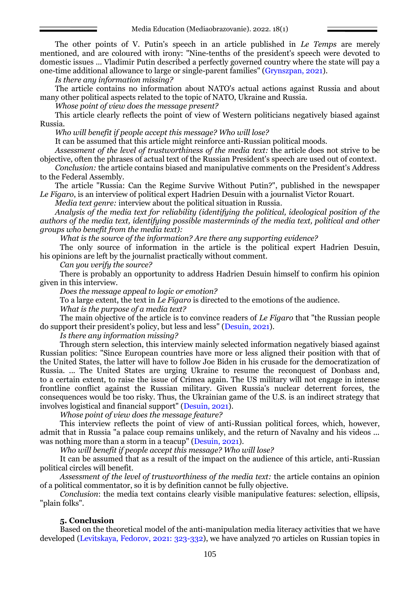The other points of V. Putin's speech in an article published in *Le Temps* are merely mentioned, and are coloured with irony: "Nine-tenths of the president's speech were devoted to domestic issues ... Vladimir Putin described a perfectly governed country where the state will pay a one-time additional allowance to large or single-parent families" (Grynszpan, 2021).

*Is there any information missing?*

The article contains no information about NATO's actual actions against Russia and about many other political aspects related to the topic of NATO, Ukraine and Russia.

*Whose point of view does the message present?*

This article clearly reflects the point of view of Western politicians negatively biased against Russia.

*Who will benefit if people accept this message? Who will lose?*

It can be assumed that this article might reinforce anti-Russian political moods.

*Assessment of the level of trustworthiness of the media text:* the article does not strive to be objective, often the phrases of actual text of the Russian President's speech are used out of context*.*

*Conclusion:* the article contains biased and manipulative comments on the President's Address to the Federal Assembly.

The article "Russia: Can the Regime Survive Without Putin?", published in the newspaper *Le Figaro*, is an interview of political expert Hadrien Desuin with a journalist Victor Rouart.

*Media text genre:* interview about the political situation in Russia.

*Analysis of the media text for reliability (identifying the political, ideological position of the authors of the media text, identifying possible masterminds of the media text, political and other groups who benefit from the media text):*

*What is the source of the information? Are there any supporting evidence?*

The only source of information in the article is the political expert Hadrien Desuin, his opinions are left by the journalist practically without comment.

*Can you verify the source?*

There is probably an opportunity to address Hadrien Desuin himself to confirm his opinion given in this interview.

*Does the message appeal to logic or emotion?*

To a large extent, the text in *Le Figaro* is directed to the emotions of the audience.

*What is the purpose of a media text?*

The main objective of the article is to convince readers of *Le Figaro* that "the Russian people do support their president's policy, but less and less" (Desuin, 2021).

*Is there any information missing?*

Through stern selection, this interview mainly selected information negatively biased against Russian politics: "Since European countries have more or less aligned their position with that of the United States, the latter will have to follow Joe Biden in his crusade for the democratization of Russia. ... The United States are urging Ukraine to resume the reconquest of Donbass and, to a certain extent, to raise the issue of Crimea again. The US military will not engage in intense frontline conflict against the Russian military. Given Russia's nuclear deterrent forces, the consequences would be too risky. Thus, the Ukrainian game of the U.S. is an indirect strategy that involves logistical and financial support" (Desuin, 2021).

*Whose point of view does the message feature?*

This interview reflects the point of view of anti-Russian political forces, which, however, admit that in Russia "a palace coup remains unlikely, and the return of Navalny and his videos ... was nothing more than a storm in a teacup" (Desuin, 2021).

*Who will benefit if people accept this message? Who will lose?*

It can be assumed that as a result of the impact on the audience of this article, anti-Russian political circles will benefit.

*Assessment of the level of trustworthiness of the media text:* the article contains an opinion of a political commentator, so it is by definition cannot be fully objective.

*Conclusion*: the media text contains clearly visible manipulative features: selection, ellipsis, "plain folks".

# **5. Conclusion**

Based on the theoretical model of the anti-manipulation media literacy activities that we have developed (Levitskaya, Fedorov, 2021: 323-332), we have analyzed 70 articles on Russian topics in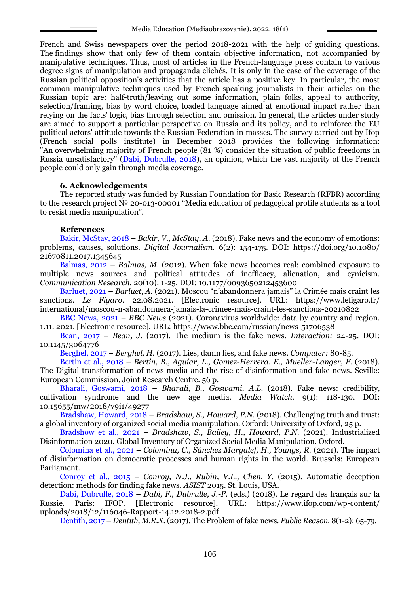French and Swiss newspapers over the period 2018-2021 with the help of guiding questions. The findings show that only few of them contain objective information, not accompanied by manipulative techniques. Thus, most of articles in the French-language press contain to various degree signs of manipulation and propaganda clichés. It is only in the case of the coverage of the Russian political opposition's activities that the article has a positive key. In particular, the most common manipulative techniques used by French-speaking journalists in their articles on the Russian topic are: half-truth/leaving out some information, plain folks, appeal to authority, selection/framing, bias by word choice, loaded language aimed at emotional impact rather than relying on the facts' logic, bias through selection and omission. In general, the articles under study are aimed to support a particular perspective on Russia and its policy, and to reinforce the EU political actors' attitude towards the Russian Federation in masses. The survey carried out by Ifop (French social polls institute) in December 2018 provides the following information: "An overwhelming majority of French people (81 %) consider the situation of public freedoms in Russia unsatisfactory" (Dabi, Dubrulle, 2018), an opinion, which the vast majority of the French people could only gain through media coverage.

### **6. Acknowledgements**

The reported study was funded by Russian Foundation for Basic Research (RFBR) according to the research project № 20-013-00001 "Media education of pedagogical profile students as a tool to resist media manipulation".

### **References**

Bakir, McStay, 2018 – *Bakir, V., McStay, A.* (2018). Fake news and the economy of emotions: problems, causes, solutions. *Digital Journalism.* 6(2): 154-175. DOI: [https://doi.org/10.1080/](https://doi.org/10.1080/21670811.2017.1345645) [21670811.2017.1345645](https://doi.org/10.1080/21670811.2017.1345645)

Balmas, 2012 – *Balmas, M*. (2012). When fake news becomes real: combined exposure to multiple news sources and political attitudes of inefficacy, alienation, and cynicism. *Communication Research.* 20(10): 1-25. DOI: 10.1177/0093650212453600

Barluet, 2021 – *Barluet, A.* (2021). Moscou "n'abandonnera jamais" la Crimée mais craint les sanctions. *Le Figaro.* 22.08.2021. [Electronic resource]. URL: [https://www.lefigaro.fr/](https://www.lefigaro.fr/international/moscou-n-abandonnera-jamais-la-crimee-mais-craint-les-sanctions-20210822) [international/moscou-n-abandonnera-jamais-la-crimee-mais-craint-les-sanctions-20210822](https://www.lefigaro.fr/international/moscou-n-abandonnera-jamais-la-crimee-mais-craint-les-sanctions-20210822)

BBC News, 2021 – *BBC News* (2021). Coronavirus worldwide: data by country and region. 1.11. 2021. [Electronic resource]. URL: https://www.bbc.com/russian/news-51706538

Bean, 2017 – *Bean, J.* (2017). The medium is the fake news. *Interaction:* 24-25. DOI: 10.1145/3064776

Berghel, 2017 – *Berghel, H.* (2017). Lies, damn lies, and fake news. *Computer:* 80-85.

Bertin et al., 2018 – *Bertin, B., Aguiar, L., Gomez-Herrera. E., Mueller-Langer, F.* (2018). The Digital transformation of news media and the rise of disinformation and fake news. Seville: European Commission, Joint Research Centre. 56 p.

Bharali, Goswami, 2018 – *Bharali, B., Goswami, A.L*. (2018). Fake news: credibility, cultivation syndrome and the new age media. *Media Watch.* 9(1): 118-130. DOI: 10.15655/mw/2018/v9i1/49277

Bradshaw, Howard, 2018 – *Bradshaw, S., Howard, P.N.* (2018). Challenging truth and trust: a global inventory of organized social media manipulation. Oxford: University of Oxford, 25 p.

Bradshow et al., 2021 – *Bradshaw, S., Bailey, H., Howard, P.N.* (2021). Industrialized Disinformation 2020. Global Inventory of Organized Social Media Manipulation. Oxford.

Colomina et al., 2021 – *Colomina, C., Sánchez Margalef, H., Youngs, R.* (2021). The impact of disinformation on democratic processes and human rights in the world. Brussels: European Parliament.

Conroy et al., 2015 – *Conroy, N.J., Rubin, V.L., Chen, Y.* (2015). Automatic deception detection: methods for finding fake news. *ASIST* 2015. St. Louis, USA.

Dabi, Dubrulle, 2018 – *Dabi, F., Dubrulle, J.-P.* (eds.) (2018). Le regard des français sur la Russie. Paris: IFOP. [Electronic resource]. URL: [https://www.ifop.com/wp-content/](https://www.ifop.com/wp-content/uploads/2018/12/116046-Rapport-14.12.2018-2.pdf) [uploads/2018/12/116046-Rapport-14.12.2018-2.pdf](https://www.ifop.com/wp-content/uploads/2018/12/116046-Rapport-14.12.2018-2.pdf)

Dentith, 2017 – *Dentith, M.R.X.* (2017). The Problem of fake news. *Public Reason.* 8(1-2): 65-79.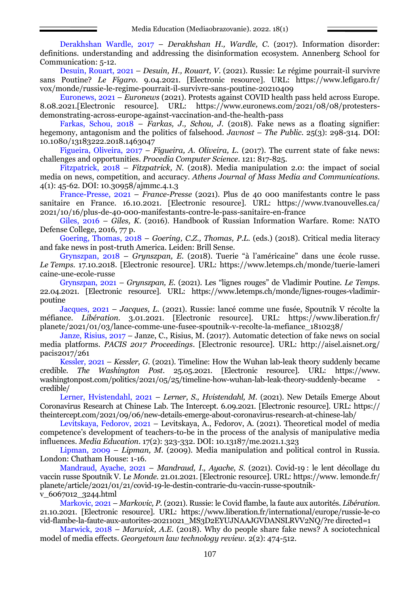Derakhshan Wardle, 2017 – *Derakhshan H., Wardle, C*. (2017). Information disorder: definitions. understanding and addressing the disinformation ecosystem. Annenberg School for Communication: 5-12.

Desuin, Rouart, 2021 – *Desuin, H., Rouart, V*. (2021). Russie: Le régime pourrait-il survivre sans Poutine? *Le Figaro*. 9.04.2021. [Electronic resource]. URL: [https://www.lefigaro.fr/](https://www.lefigaro.fr/vox/monde/russie-le-regime-pourrait-il-survivre-sans-poutine-20210409) [vox/monde/russie-le-regime-pourrait-il-survivre-sans-poutine-20210409](https://www.lefigaro.fr/vox/monde/russie-le-regime-pourrait-il-survivre-sans-poutine-20210409)

Euronews, 2021 – *Euronews* (2021). Protests against COVID health pass held across Europe. 8.08.2021.[Electronic resource]. URL: https://www.euronews.com/2021/08/08/protestersdemonstrating-across-europe-against-vaccination-and-the-health-pass

Farkas, Schou, 2018 – *Farkas, J., Schou, J.* (2018). Fake news as a floating signifier: hegemony, antagonism and the politics of falsehood. *Javnost* – *The Public.* 25(3): 298-314. DOI: 10.1080/13183222.2018.1463047

Figueira, Oliveira, 2017 – *Figueira, A. Oliveira, L.* (2017). The current state of fake news: challenges and opportunities. *Procedia Computer Science.* 121: 817-825.

Fitzpatrick, 2018 – *Fitzpatrick, N.* (2018). Media manipulation 2.0: the impact of social media on news, competition, and accuracy. *Athens Journal of Mass Media and Communications.*  4(1): 45-62*.* DOI: 10.30958/ajmmc.4.1.3

France-Presse, 2021 – *France-Presse* (2021). Plus de 40 000 manifestants contre le pass sanitaire en France. 16.10.2021. [Electronic resource]. URL: https://www.tvanouvelles.ca/ 2021/10/16/plus-de-40-000-manifestants-contre-le-pass-sanitaire-en-france

Giles, 2016 – *Giles, K.* (2016). Handbook of Russian Information Warfare. Rome: NATO Defense College, 2016, 77 p.

Goering, Thomas, 2018 – *Goering, C.Z., Thomas, P.L.* (eds.) (2018). Critical media literacy and fake news in post-truth America. Leiden: Brill Sense.

Grynszpan, 2018 – *Grynszpan, E.* (2018). Tuerie "à l'américaine" dans une école russe*. Le Temps.* 17.10.2018. [Electronic resource]. URL: [https://www.letemps.ch/monde/tuerie-lameri](https://www.letemps.ch/monde/tuerie-lamericaine-une-ecole-russe) [caine-une-ecole-russe](https://www.letemps.ch/monde/tuerie-lamericaine-une-ecole-russe)

Grynszpan, 2021 – *Grynszpan, E*. (2021). Les "lignes rouges" de Vladimir Poutine. *Le Temps.* 22.04.2021. [Electronic resource]. URL: [https://www.letemps.ch/monde/lignes-rouges-vladimir](https://www.letemps.ch/monde/lignes-rouges-vladimir-poutine)[poutine](https://www.letemps.ch/monde/lignes-rouges-vladimir-poutine)

Jacques, 2021 – *Jacques, L.* (2021). Russie: lancé comme une fusée, Spoutnik V récolte la méfiance. *Libération.* 3.01.2021. [Electronic resource]. URL: [https://www.liberation.fr/](https://www.liberation.fr/planete/2021/01/03/lance-comme-une-fusee-spoutnik-v-recolte-la-mefiance_1810238/) [planete/2021/01/03/lance-comme-une-fusee-spoutnik-v-recolte-la-mefiance\\_1810238/](https://www.liberation.fr/planete/2021/01/03/lance-comme-une-fusee-spoutnik-v-recolte-la-mefiance_1810238/)

Janze, Risius, 2017 – Janze, C., Risius, M. (2017). Automatic detection of fake news on social media platforms. *PACIS 2017 Proceedings*. [Electronic resource]. URL: [http://aisel.aisnet.org/](http://aisel.aisnet.org/pacis2017/261) [pacis2017/261](http://aisel.aisnet.org/pacis2017/261)

Kessler, 2021 – *Kessler, G.* (2021). Timeline: How the Wuhan lab-leak theory suddenly became credible. *The Washington Post*. 25.05.2021. [Electronic resource]. URL: [https://www.](https://www.washingtonpost.com/politics/2021/05/25/timeline-how-wuhan-lab-leak-theory-suddenly-became-credible/) [washingtonpost.com/politics/2021/05/25/timeline-how-wuhan-lab-leak-theory-suddenly-became](https://www.washingtonpost.com/politics/2021/05/25/timeline-how-wuhan-lab-leak-theory-suddenly-became-credible/) [credible/](https://www.washingtonpost.com/politics/2021/05/25/timeline-how-wuhan-lab-leak-theory-suddenly-became-credible/)

Lerner, Hvistendahl, 2021 – *Lerner, S., Hvistendahl, M*. (2021). New Details Emerge About Coronavirus Research at Chinese Lab. The Intercept. 6.09.2021. [Electronic resource]. URL: [https://](https://theintercept.com/2021/09/06/new-details-emerge-about-coronavirus-research-at-chinese-lab/) [theintercept.com/2021/09/06/new-details-emerge-about-coronavirus-research-at-chinese-lab/](https://theintercept.com/2021/09/06/new-details-emerge-about-coronavirus-research-at-chinese-lab/)

Levitskaya, Fedorov, 2021 – Levitskaya, A., Fedorov, A. (2021). Theoretical model of media competence's development of teachers-to-be in the process of the analysis of manipulative media influences. *Media Education*. 17(2): 323-332. DOI: [10.13187/me.2021.1.323](http://dx.doi.org/10.13187/me.2021.1.323)

Lipman, 2009 – *Lipman, M.* (2009). Media manipulation and political control in Russia. London: Chatham House: 1-16.

Mandraud, Ayache, 2021 – *Mandraud, I., Ayache, S*. (2021). Covid-19 : le lent décollage du vaccin russe Spoutnik V. Le *Monde.* 21.01.2021. [Electronic resource]. URL: [https://www.](https://www.lemonde.fr/planete/article/2021/01/21/covid-19-le-destin-contrarie-du-vaccin-russe-spoutnik-v_6067012_3244.html) lemonde.fr/ [planete/article/2021/01/21/covid-19-le-destin-contrarie-du-vaccin-russe-spoutnik](https://www.lemonde.fr/planete/article/2021/01/21/covid-19-le-destin-contrarie-du-vaccin-russe-spoutnik-v_6067012_3244.html)[v\\_6067012\\_3244.html](https://www.lemonde.fr/planete/article/2021/01/21/covid-19-le-destin-contrarie-du-vaccin-russe-spoutnik-v_6067012_3244.html)

Markovic, 2021 – *Markovic, P.* (2021). Russie: le Covid flambe, la faute aux autorités. *Libération.*  21.10.2021. [Electronic resource]. URL: https://www.liberation.fr/international/europe/russie-le-co vid-flambe-la-faute-aux-autorites-20211021\_MS3D2EYUJNAAJGVDANSLRVV2NQ/?re directed=1

Marwick, 2018 – *Marwick, A.E.* (2018). Why do people share fake news? A sociotechnical model of media effects. *Georgetown law technology review.* 2(2): 474-512.